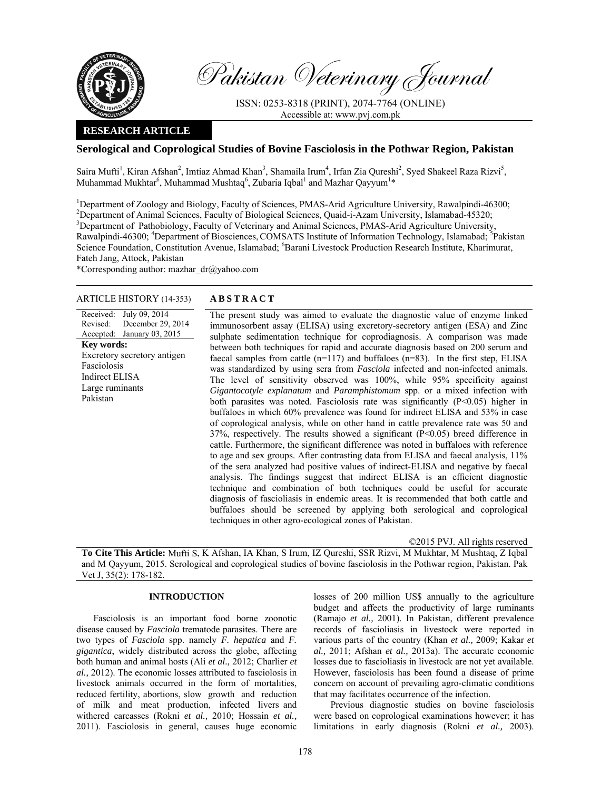

Pakistan Veterinary Journal

ISSN: 0253-8318 (PRINT), 2074-7764 (ONLINE) Accessible at: www.pvj.com.pk

## **RESEARCH ARTICLE**

# **Serological and Coprological Studies of Bovine Fasciolosis in the Pothwar Region, Pakistan**

Saira Mufti<sup>1</sup>, Kiran Afshan<sup>2</sup>, Imtiaz Ahmad Khan<sup>3</sup>, Shamaila Irum<sup>4</sup>, Irfan Zia Qureshi<sup>2</sup>, Syed Shakeel Raza Rizvi<sup>5</sup>, Muhammad Mukhtar<sup>6</sup>, Muhammad Mushtaq<sup>6</sup>, Zubaria Iqbal<sup>1</sup> and Mazhar Qayyum<sup>1</sup>\*

<sup>1</sup>Department of Zoology and Biology, Faculty of Sciences, PMAS-Arid Agriculture University, Rawalpindi-46300; <sup>2</sup>Department of Animal Sciences, Faculty of Biological Sciences, Quaid-i-Azam University, Islamabad-45320; <sup>3</sup>Department of Pathobiology, Faculty of Veterinary and Animal Sciences, PMAS-Arid Agriculture University, Rawalpindi-46300; <sup>4</sup>Department of Biosciences, COMSATS Institute of Information Technology, Islamabad; <sup>5</sup>Pakistan Science Foundation, Constitution Avenue, Islamabad; <sup>6</sup>Barani Livestock Production Research Institute, Kharimurat, Fateh Jang, Attock, Pakistan

\*Corresponding author: mazhar  $dr@yahoo.com$ 

## ARTICLE HISTORY (14-353) **ABSTRACT**

Received: Revised: Accepted: January 03, 2015 July 09, 2014 December 29, 2014 **Key words:**  Excretory secretory antigen Fasciolosis Indirect ELISA Large ruminants Pakistan

 The present study was aimed to evaluate the diagnostic value of enzyme linked immunosorbent assay (ELISA) using excretory-secretory antigen (ESA) and Zinc sulphate sedimentation technique for coprodiagnosis. A comparison was made between both techniques for rapid and accurate diagnosis based on 200 serum and faecal samples from cattle  $(n=117)$  and buffaloes  $(n=83)$ . In the first step, ELISA was standardized by using sera from *Fasciola* infected and non-infected animals. The level of sensitivity observed was 100%, while 95% specificity against *Gigantocotyle explanatum* and *Paramphistomum* spp. or a mixed infection with both parasites was noted. Fasciolosis rate was significantly (P<0.05) higher in buffaloes in which 60% prevalence was found for indirect ELISA and 53% in case of coprological analysis, while on other hand in cattle prevalence rate was 50 and  $37\%$ , respectively. The results showed a significant ( $\overline{P}$ <0.05) breed difference in cattle. Furthermore, the significant difference was noted in buffaloes with reference to age and sex groups. After contrasting data from ELISA and faecal analysis, 11% of the sera analyzed had positive values of indirect-ELISA and negative by faecal analysis. The findings suggest that indirect ELISA is an efficient diagnostic technique and combination of both techniques could be useful for accurate diagnosis of fascioliasis in endemic areas. It is recommended that both cattle and buffaloes should be screened by applying both serological and coprological techniques in other agro-ecological zones of Pakistan.

©2015 PVJ. All rights reserved

**To Cite This Article:** Mufti S, K Afshan, IA Khan, S Irum, IZ Qureshi, SSR Rizvi, M Mukhtar, M Mushtaq, Z Iqbal and M Qayyum, 2015. Serological and coprological studies of bovine fasciolosis in the Pothwar region, Pakistan. Pak Vet J, 35(2): 178-182.

#### **INTRODUCTION**

Fasciolosis is an important food borne zoonotic disease caused by *Fasciola* trematode parasites. There are two types of *Fasciola* spp. namely *F. hepatica* and *F. gigantica*, widely distributed across the globe, affecting both human and animal hosts (Ali *et al.,* 2012; Charlier *et al.,* 2012). The economic losses attributed to fasciolosis in livestock animals occurred in the form of mortalities, reduced fertility, abortions, slow growth and reduction of milk and meat production, infected livers and withered carcasses (Rokni *et al.,* 2010; Hossain *et al.,* 2011). Fasciolosis in general, causes huge economic

losses of 200 million US\$ annually to the agriculture budget and affects the productivity of large ruminants (Ramajo *et al.,* 2001). In Pakistan, different prevalence records of fascioliasis in livestock were reported in various parts of the country (Khan *et al.,* 2009; Kakar *et al.,* 2011; Afshan *et al.,* 2013a). The accurate economic losses due to fascioliasis in livestock are not yet available. However, fasciolosis has been found a disease of prime concern on account of prevailing agro-climatic conditions that may facilitates occurrence of the infection.

Previous diagnostic studies on bovine fasciolosis were based on coprological examinations however; it has limitations in early diagnosis (Rokni *et al.,* 2003).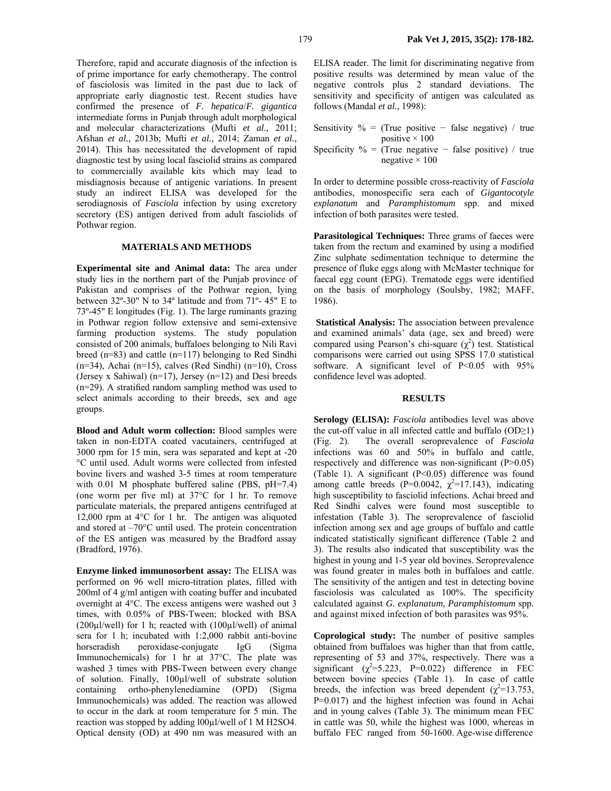Therefore, rapid and accurate diagnosis of the infection is of prime importance for early chemotherapy. The control of fasciolosis was limited in the past due to lack of appropriate early diagnostic test. Recent studies have confirmed the presence of *F. hepatica*/*F. gigantica*  intermediate forms in Punjab through adult morphological and molecular characterizations (Mufti *et al.,* 2011; Afshan *et al.,* 2013b; Mufti *et al.,* 2014; Zaman *et al.,* 2014). This has necessitated the development of rapid diagnostic test by using local fasciolid strains as compared to commercially available kits which may lead to misdiagnosis because of antigenic variations. In present study an indirect ELISA was developed for the serodiagnosis of *Fasciola* infection by using excretory secretory (ES) antigen derived from adult fasciolids of Pothwar region.

### **MATERIALS AND METHODS**

**Experimental site and Animal data:** The area under study lies in the northern part of the Punjab province of Pakistan and comprises of the Pothwar region, lying between 32º-30" N to 34º latitude and from 71º- 45" E to 73º-45" E longitudes (Fig. 1). The large ruminants grazing in Pothwar region follow extensive and semi-extensive farming production systems. The study population consisted of 200 animals, buffaloes belonging to Nili Ravi breed (n=83) and cattle (n=117) belonging to Red Sindhi  $(n=34)$ , Achai  $(n=15)$ , calves (Red Sindhi)  $(n=10)$ , Cross (Jersey x Sahiwal) ( $n=17$ ), Jersey ( $n=12$ ) and Desi breeds (n=29). A stratified random sampling method was used to select animals according to their breeds, sex and age groups.

**Blood and Adult worm collection:** Blood samples were taken in non-EDTA coated vacutainers, centrifuged at 3000 rpm for 15 min, sera was separated and kept at -20 °C until used. Adult worms were collected from infested bovine livers and washed 3-5 times at room temperature with 0.01 M phosphate buffered saline (PBS, pH=7.4) (one worm per five ml) at 37°C for 1 hr. To remove particulate materials, the prepared antigens centrifuged at 12,000 rpm at 4°C for 1 hr.The antigen was aliquoted and stored at –70°C until used. The protein concentration of the ES antigen was measured by the Bradford assay (Bradford, 1976).

**Enzyme linked immunosorbent assay:** The ELISA was performed on 96 well micro-titration plates, filled with 200ml of 4 g/ml antigen with coating buffer and incubated overnight at 4°C. The excess antigens were washed out 3 times, with 0.05% of PBS-Tween; blocked with BSA (200µl/well) for 1 h; reacted with (100µl/well) of animal sera for 1 h; incubated with 1:2,000 rabbit anti-bovine horseradish peroxidase-conjugate IgG (Sigma Immunochemicals) for 1 hr at 37°C. The plate was washed 3 times with PBS-Tween between every change of solution. Finally, 100µl/well of substrate solution containing ortho-phenylenediamine (OPD) (Sigma Immunochemicals) was added. The reaction was allowed to occur in the dark at room temperature for 5 min. The reaction was stopped by adding l00µl/well of 1 M H2SO4. Optical density (OD) at 490 nm was measured with an

ELISA reader. The limit for discriminating negative from positive results was determined by mean value of the negative controls plus 2 standard deviations. The sensitivity and specificity of antigen was calculated as follows (Mandal *et al.,* 1998):

| Sensitivity $\%$ = (True positive – false negative) / true |  |                       |  |  |  |
|------------------------------------------------------------|--|-----------------------|--|--|--|
|                                                            |  | positive $\times$ 100 |  |  |  |
| Specificity $\%$ = (True negative – false positive) / true |  |                       |  |  |  |
|                                                            |  | negative $\times$ 100 |  |  |  |

In order to determine possible cross-reactivity of *Fasciola* antibodies, monospecific sera each of *Gigantocotyle explanatum* and *Paramphistomum* spp. and mixed infection of both parasites were tested.

**Parasitological Techniques:** Three grams of faeces were taken from the rectum and examined by using a modified Zinc sulphate sedimentation technique to determine the presence of fluke eggs along with McMaster technique for faecal egg count (EPG). Trematode eggs were identified on the basis of morphology (Soulsby, 1982; MAFF, 1986).

 **Statistical Analysis:** The association between prevalence and examined animals' data (age, sex and breed) were compared using Pearson's chi-square  $(\chi^2)$  test. Statistical comparisons were carried out using SPSS 17.0 statistical software. A significant level of P<0.05 with 95% confidence level was adopted.

#### **RESULTS**

**Serology (ELISA):** *Fasciola* antibodies level was above the cut-off value in all infected cattle and buffalo  $(OD \ge 1)$ (Fig. 2). The overall seroprevalence of *Fasciola*  infections was 60 and 50% in buffalo and cattle, respectively and difference was non-significant (P>0.05) (Table 1). A significant (P<0.05) difference was found among cattle breeds (P=0.0042,  $\chi^2$ =17.143), indicating high susceptibility to fasciolid infections. Achai breed and Red Sindhi calves were found most susceptible to infestation (Table 3). The seroprevalence of fasciolid infection among sex and age groups of buffalo and cattle indicated statistically significant difference (Table 2 and 3). The results also indicated that susceptibility was the highest in young and 1-5 year old bovines. Seroprevalence was found greater in males both in buffaloes and cattle. The sensitivity of the antigen and test in detecting bovine fasciolosis was calculated as 100%. The specificity calculated against *G. explanatum, Paramphistomum* spp. and against mixed infection of both parasites was 95%.

**Coprological study:** The number of positive samples obtained from buffaloes was higher than that from cattle, representing of 53 and 37%, respectively. There was a significant  $(\chi^2 = 5.223, P = 0.022)$  difference in FEC between bovine species (Table 1). In case of cattle breeds, the infection was breed dependent ( $\chi^2$ =13.753, P=0.017) and the highest infection was found in Achai and in young calves (Table 3). The minimum mean FEC in cattle was 50, while the highest was 1000, whereas in buffalo FEC ranged from 50-1600. Age-wise difference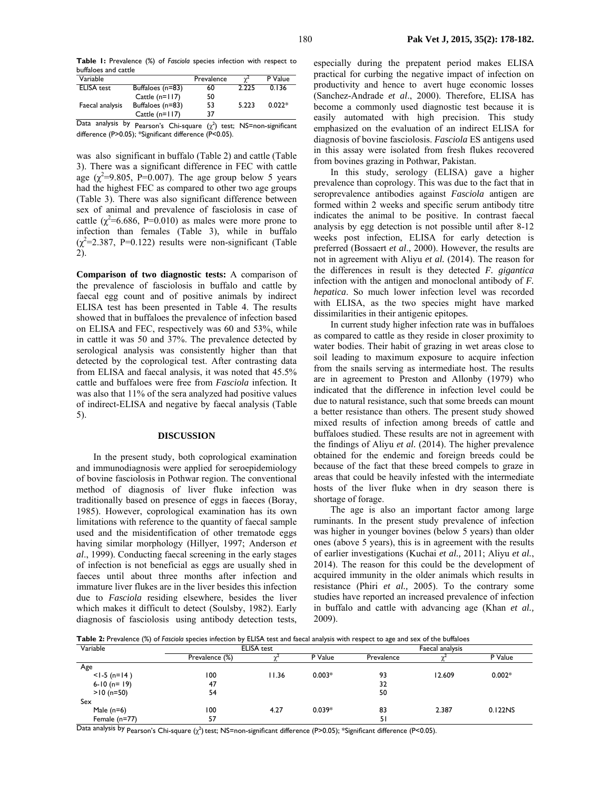**Table 1:** Prevalence (%) of *Fasciola* species infection with respect to buffaloes and cattle

| Variable          |                  | Prevalence | $\gamma$ | P Value  |
|-------------------|------------------|------------|----------|----------|
| <b>ELISA</b> test | Buffaloes (n=83) | 60         | 2.225    | 0.136    |
|                   | Cattle $(n=117)$ | 50         |          |          |
| Faecal analysis   | Buffaloes (n=83) | 53         | 5.223    | $0.022*$ |
|                   | Cattle $(n=117)$ | 37         |          |          |

Data analysis by Pearson's Chi-square  $(\chi^2)$  test; NS=non-significant difference (P>0.05); \*Significant difference (P<0.05).

was also significant in buffalo (Table 2) and cattle (Table 3). There was a significant difference in FEC with cattle age  $(\chi^2=9.805, P=0.007)$ . The age group below 5 years had the highest FEC as compared to other two age groups (Table 3). There was also significant difference between sex of animal and prevalence of fasciolosis in case of cattle  $(\chi^2=6.686, P=0.010)$  as males were more prone to infection than females (Table 3), while in buffalo  $(\chi^2=2.387, P=0.122)$  results were non-significant (Table 2).

**Comparison of two diagnostic tests:** A comparison of the prevalence of fasciolosis in buffalo and cattle by faecal egg count and of positive animals by indirect ELISA test has been presented in Table 4. The results showed that in buffaloes the prevalence of infection based on ELISA and FEC, respectively was 60 and 53%, while in cattle it was 50 and 37%. The prevalence detected by serological analysis was consistently higher than that detected by the coprological test. After contrasting data from ELISA and faecal analysis, it was noted that 45.5% cattle and buffaloes were free from *Fasciola* infection*.* It was also that 11% of the sera analyzed had positive values of indirect-ELISA and negative by faecal analysis (Table 5).

#### **DISCUSSION**

In the present study, both coprological examination and immunodiagnosis were applied for seroepidemiology of bovine fasciolosis in Pothwar region. The conventional method of diagnosis of liver fluke infection was traditionally based on presence of eggs in faeces (Boray, 1985). However, coprological examination has its own limitations with reference to the quantity of faecal sample used and the misidentification of other trematode eggs having similar morphology (Hillyer, 1997; Anderson *et al*., 1999). Conducting faecal screening in the early stages of infection is not beneficial as eggs are usually shed in faeces until about three months after infection and immature liver flukes are in the liver besides this infection due to *Fasciola* residing elsewhere, besides the liver which makes it difficult to detect (Soulsby, 1982). Early diagnosis of fasciolosis using antibody detection tests,

especially during the prepatent period makes ELISA practical for curbing the negative impact of infection on productivity and hence to avert huge economic losses (Sanchez-Andrade *et al*., 2000). Therefore, ELISA has become a commonly used diagnostic test because it is easily automated with high precision. This study emphasized on the evaluation of an indirect ELISA for diagnosis of bovine fasciolosis. *Fasciola* ES antigens used in this assay were isolated from fresh flukes recovered from bovines grazing in Pothwar, Pakistan.

In this study, serology (ELISA) gave a higher prevalence than coprology. This was due to the fact that in seroprevalence antibodies against *Fasciola* antigen are formed within 2 weeks and specific serum antibody titre indicates the animal to be positive. In contrast faecal analysis by egg detection is not possible until after 8-12 weeks post infection, ELISA for early detection is preferred (Bossaert *et al*., 2000). However, the results are not in agreement with Aliyu *et al.* (2014). The reason for the differences in result is they detected *F. gigantica* infection with the antigen and monoclonal antibody of *F. hepatica*. So much lower infection level was recorded with ELISA, as the two species might have marked dissimilarities in their antigenic epitopes*.* 

In current study higher infection rate was in buffaloes as compared to cattle as they reside in closer proximity to water bodies. Their habit of grazing in wet areas close to soil leading to maximum exposure to acquire infection from the snails serving as intermediate host. The results are in agreement to Preston and Allonby (1979) who indicated that the difference in infection level could be due to natural resistance, such that some breeds can mount a better resistance than others. The present study showed mixed results of infection among breeds of cattle and buffaloes studied. These results are not in agreement with the findings of Aliyu *et al.* (2014). The higher prevalence obtained for the endemic and foreign breeds could be because of the fact that these breed compels to graze in areas that could be heavily infested with the intermediate hosts of the liver fluke when in dry season there is shortage of forage.

The age is also an important factor among large ruminants. In the present study prevalence of infection was higher in younger bovines (below 5 years) than older ones (above 5 years), this is in agreement with the results of earlier investigations (Kuchai *et al.,* 2011; Aliyu *et al.*, 2014). The reason for this could be the development of acquired immunity in the older animals which results in resistance (Phiri *et al.,* 2005). To the contrary some studies have reported an increased prevalence of infection in buffalo and cattle with advancing age (Khan *et al.,* 2009).

**Table 2:** Prevalence (%) of *Fasciola* species infection by ELISA test and faecal analysis with respect to age and sex of the buffaloes

| Variable       | <b>ELISA</b> test |       |          | Faecal analysis |        |          |  |
|----------------|-------------------|-------|----------|-----------------|--------|----------|--|
|                | Prevalence (%)    |       | P Value  | Prevalence      |        | P Value  |  |
| Age            |                   |       |          |                 |        |          |  |
| $<$ 1-5 (n=14) | 100               | 11.36 | $0.003*$ | 93              | 12.609 | $0.002*$ |  |
| $6-10$ (n= 19) | 47                |       |          | 32              |        |          |  |
| $>10$ (n=50)   | 54                |       |          | 50              |        |          |  |
| Sex            |                   |       |          |                 |        |          |  |
| Male $(n=6)$   | 100               | 4.27  | $0.039*$ | 83              | 2.387  | 0.122NS  |  |
| Female (n=77)  | 57                |       |          | 51              |        |          |  |

Data analysis by Pearson's Chi-square (χ<sup>2</sup>) test; NS=non-significant difference (P>0.05); \*Significant difference (P<0.05).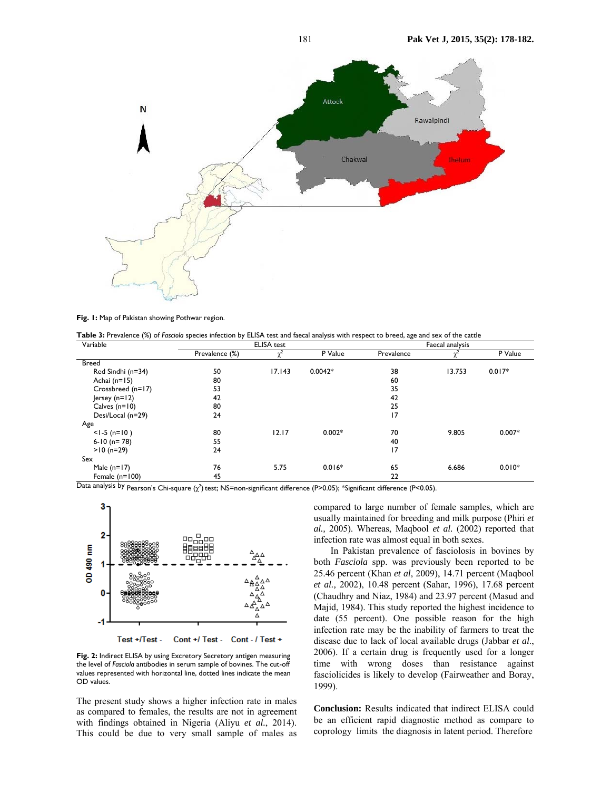

**Fig. 1:** Map of Pakistan showing Pothwar region.

**Table 3:** Prevalence (%) of *Fasciola* species infection by ELISA test and faecal analysis with respect to breed, age and sex of the cattle

| Variable          | <b>ELISA</b> test |        |           | Faecal analysis |        |          |  |
|-------------------|-------------------|--------|-----------|-----------------|--------|----------|--|
|                   | Prevalence (%)    |        | P Value   | Prevalence      |        | P Value  |  |
| <b>Breed</b>      |                   |        |           |                 |        |          |  |
| Red Sindhi (n=34) | 50                | 17.143 | $0.0042*$ | 38              | 13.753 | $0.017*$ |  |
| Achai (n=15)      | 80                |        |           | 60              |        |          |  |
| Crossbreed (n=17) | 53                |        |           | 35              |        |          |  |
| Jersey $(n=12)$   | 42                |        |           | 42              |        |          |  |
| Calves $(n=10)$   | 80                |        |           | 25              |        |          |  |
| Desi/Local (n=29) | 24                |        |           | 17              |        |          |  |
| Age               |                   |        |           |                 |        |          |  |
| $<$ 1-5 (n=10)    | 80                | 12.17  | $0.002*$  | 70              | 9.805  | $0.007*$ |  |
| $6-10$ (n= 78)    | 55                |        |           | 40              |        |          |  |
| $>10$ (n=29)      | 24                |        |           | 17              |        |          |  |
| Sex               |                   |        |           |                 |        |          |  |
| Male $(n=17)$     | 76                | 5.75   | $0.016*$  | 65              | 6.686  | $0.010*$ |  |
| Female $(n=100)$  | 45                |        |           | 22              |        |          |  |

Data analysis by Pearson's Chi-square (χ<sup>2</sup>) test; NS=non-significant difference (P>0.05); \*Significant difference (P<0.05).



Test +/Test -Cont +/ Test - Cont - / Test +

**Fig. 2:** Indirect ELISA by using Excretory Secretory antigen measuring the level of *Fasciola* antibodies in serum sample of bovines. The cut-off values represented with horizontal line, dotted lines indicate the mean OD values.

The present study shows a higher infection rate in males as compared to females, the results are not in agreement with findings obtained in Nigeria (Aliyu *et al.*, 2014). This could be due to very small sample of males as

compared to large number of female samples, which are usually maintained for breeding and milk purpose (Phiri *et al.,* 2005). Whereas, Maqbool *et al.* (2002) reported that infection rate was almost equal in both sexes.

In Pakistan prevalence of fasciolosis in bovines by both *Fasciola* spp. was previously been reported to be 25.46 percent (Khan *et al*, 2009), 14.71 percent (Maqbool *et al.,* 2002), 10.48 percent (Sahar, 1996), 17.68 percent (Chaudhry and Niaz, 1984) and 23.97 percent (Masud and Majid, 1984). This study reported the highest incidence to date (55 percent). One possible reason for the high infection rate may be the inability of farmers to treat the disease due to lack of local available drugs (Jabbar *et al*., 2006). If a certain drug is frequently used for a longer time with wrong doses than resistance against fasciolicides is likely to develop (Fairweather and Boray, 1999).

**Conclusion:** Results indicated that indirect ELISA could be an efficient rapid diagnostic method as compare to coprology limits the diagnosis in latent period. Therefore